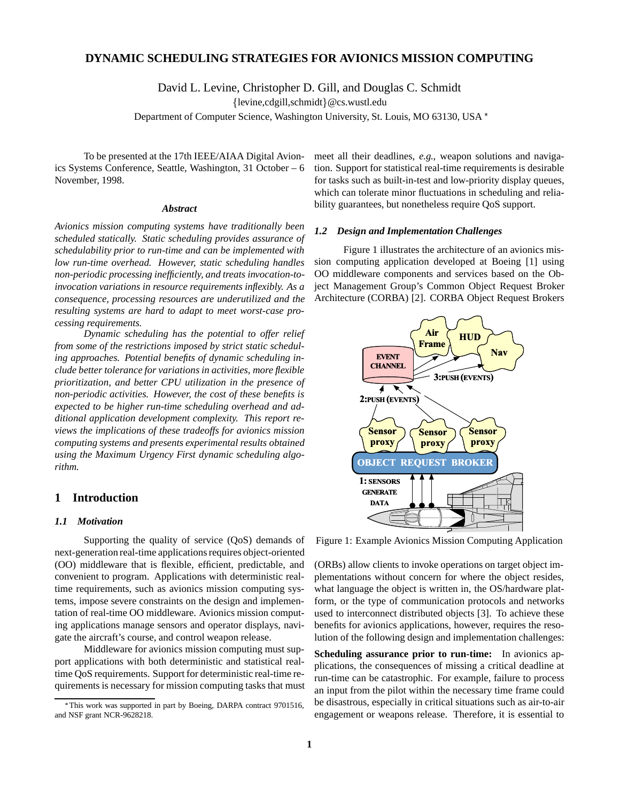# **DYNAMIC SCHEDULING STRATEGIES FOR AVIONICS MISSION COMPUTING**

David L. Levine, Christopher D. Gill, and Douglas C. Schmidt

 ${levine, cdgill, schmidt} @cs.wust..edu$ 

Department of Computer Science, Washington University, St. Louis, MO 63130, USA

To be presented at the 17th IEEE/AIAA Digital Avionics Systems Conference, Seattle, Washington, 31 October – 6 November, 1998.

#### *Abstract*

*Avionics mission computing systems have traditionally been scheduled statically. Static scheduling provides assurance of schedulability prior to run-time and can be implemented with low run-time overhead. However, static scheduling handles non-periodic processing inefficiently, and treats invocation-toinvocation variations in resource requirements inflexibly. As a consequence, processing resources are underutilized and the resulting systems are hard to adapt to meet worst-case processing requirements.*

*Dynamic scheduling has the potential to offer relief from some of the restrictions imposed by strict static scheduling approaches. Potential benefits of dynamic scheduling include better tolerance for variations in activities, more flexible prioritization, and better CPU utilization in the presence of non-periodic activities. However, the cost of these benefits is expected to be higher run-time scheduling overhead and additional application development complexity. This report reviews the implications of these tradeoffs for avionics mission computing systems and presents experimental results obtained using the Maximum Urgency First dynamic scheduling algorithm.*

# **1 Introduction**

#### *1.1 Motivation*

Supporting the quality of service (QoS) demands of next-generation real-time applications requires object-oriented (OO) middleware that is flexible, efficient, predictable, and convenient to program. Applications with deterministic realtime requirements, such as avionics mission computing systems, impose severe constraints on the design and implementation of real-time OO middleware. Avionics mission computing applications manage sensors and operator displays, navigate the aircraft's course, and control weapon release.

Middleware for avionics mission computing must support applications with both deterministic and statistical realtime QoS requirements. Support for deterministic real-time requirements is necessary for mission computing tasks that must meet all their deadlines, *e.g.*, weapon solutions and navigation. Support for statistical real-time requirements is desirable for tasks such as built-in-test and low-priority display queues, which can tolerate minor fluctuations in scheduling and reliability guarantees, but nonetheless require QoS support.

#### *1.2 Design and Implementation Challenges*

Figure 1 illustrates the architecture of an avionics mission computing application developed at Boeing [1] using OO middleware components and services based on the Object Management Group's Common Object Request Broker Architecture (CORBA) [2]. CORBA Object Request Brokers



Figure 1: Example Avionics Mission Computing Application

(ORBs) allow clients to invoke operations on target object implementations without concern for where the object resides, what language the object is written in, the OS/hardware platform, or the type of communication protocols and networks used to interconnect distributed objects [3]. To achieve these benefits for avionics applications, however, requires the resolution of the following design and implementation challenges:

**Scheduling assurance prior to run-time:** In avionics applications, the consequences of missing a critical deadline at run-time can be catastrophic. For example, failure to process an input from the pilot within the necessary time frame could be disastrous, especially in critical situations such as air-to-air engagement or weapons release. Therefore, it is essential to

This work was supported in part by Boeing, DARPA contract 9701516, and NSF grant NCR-9628218.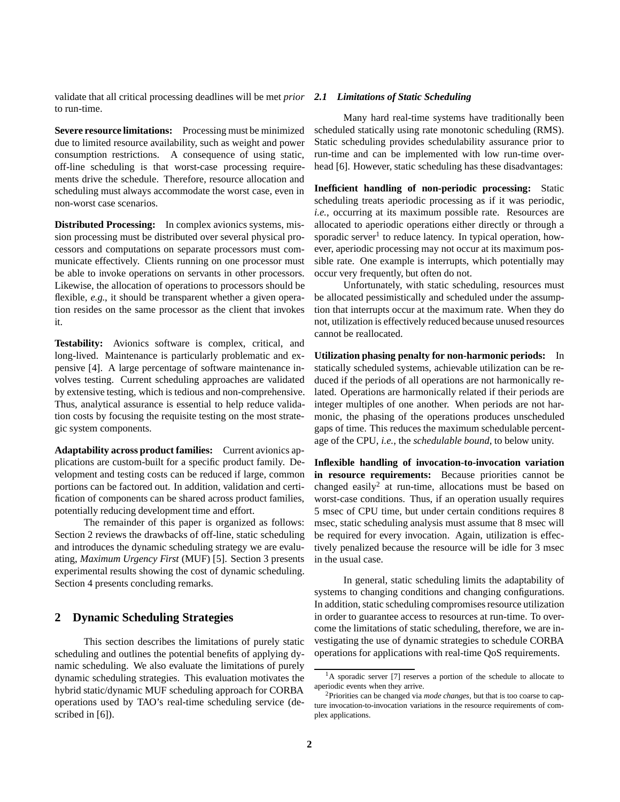validate that all critical processing deadlines will be met *prior 2.1 Limitations of Static Scheduling* to run-time.

**Severe resource limitations:** Processing must be minimized due to limited resource availability, such as weight and power consumption restrictions. A consequence of using static, off-line scheduling is that worst-case processing requirements drive the schedule. Therefore, resource allocation and scheduling must always accommodate the worst case, even in non-worst case scenarios.

**Distributed Processing:** In complex avionics systems, mission processing must be distributed over several physical processors and computations on separate processors must communicate effectively. Clients running on one processor must be able to invoke operations on servants in other processors. Likewise, the allocation of operations to processors should be flexible, *e.g.*, it should be transparent whether a given operation resides on the same processor as the client that invokes it.

**Testability:** Avionics software is complex, critical, and long-lived. Maintenance is particularly problematic and expensive [4]. A large percentage of software maintenance involves testing. Current scheduling approaches are validated by extensive testing, which is tedious and non-comprehensive. Thus, analytical assurance is essential to help reduce validation costs by focusing the requisite testing on the most strategic system components.

**Adaptability across product families:** Current avionics applications are custom-built for a specific product family. Development and testing costs can be reduced if large, common portions can be factored out. In addition, validation and certification of components can be shared across product families, potentially reducing development time and effort.

The remainder of this paper is organized as follows: Section 2 reviews the drawbacks of off-line, static scheduling and introduces the dynamic scheduling strategy we are evaluating, *Maximum Urgency First* (MUF) [5]. Section 3 presents experimental results showing the cost of dynamic scheduling. Section 4 presents concluding remarks.

## **2 Dynamic Scheduling Strategies**

This section describes the limitations of purely static scheduling and outlines the potential benefits of applying dynamic scheduling. We also evaluate the limitations of purely dynamic scheduling strategies. This evaluation motivates the hybrid static/dynamic MUF scheduling approach for CORBA operations used by TAO's real-time scheduling service (described in [6]).

Many hard real-time systems have traditionally been scheduled statically using rate monotonic scheduling (RMS). Static scheduling provides schedulability assurance prior to run-time and can be implemented with low run-time overhead [6]. However, static scheduling has these disadvantages:

**Inefficient handling of non-periodic processing:** Static scheduling treats aperiodic processing as if it was periodic, *i.e.*, occurring at its maximum possible rate. Resources are allocated to aperiodic operations either directly or through a sporadic server<sup>1</sup> to reduce latency. In typical operation, however, aperiodic processing may not occur at its maximum possible rate. One example is interrupts, which potentially may occur very frequently, but often do not.

Unfortunately, with static scheduling, resources must be allocated pessimistically and scheduled under the assumption that interrupts occur at the maximum rate. When they do not, utilization is effectively reduced because unused resources cannot be reallocated.

**Utilization phasing penalty for non-harmonic periods:** In statically scheduled systems, achievable utilization can be reduced if the periods of all operations are not harmonically related. Operations are harmonically related if their periods are integer multiples of one another. When periods are not harmonic, the phasing of the operations produces unscheduled gaps of time. This reduces the maximum schedulable percentage of the CPU, *i.e.*, the *schedulable bound*, to below unity.

**Inflexible handling of invocation-to-invocation variation in resource requirements:** Because priorities cannot be changed easily<sup>2</sup> at run-time, allocations must be based on worst-case conditions. Thus, if an operation usually requires 5 msec of CPU time, but under certain conditions requires 8 msec, static scheduling analysis must assume that 8 msec will be required for every invocation. Again, utilization is effectively penalized because the resource will be idle for 3 msec in the usual case.

In general, static scheduling limits the adaptability of systems to changing conditions and changing configurations. In addition, static scheduling compromises resource utilization in order to guarantee access to resources at run-time. To overcome the limitations of static scheduling, therefore, we are investigating the use of dynamic strategies to schedule CORBA operations for applications with real-time QoS requirements.

 ${}^{1}$ A sporadic server [7] reserves a portion of the schedule to allocate to aperiodic events when they arrive.

<sup>2</sup>Priorities can be changed via *mode changes*, but that is too coarse to capture invocation-to-invocation variations in the resource requirements of complex applications.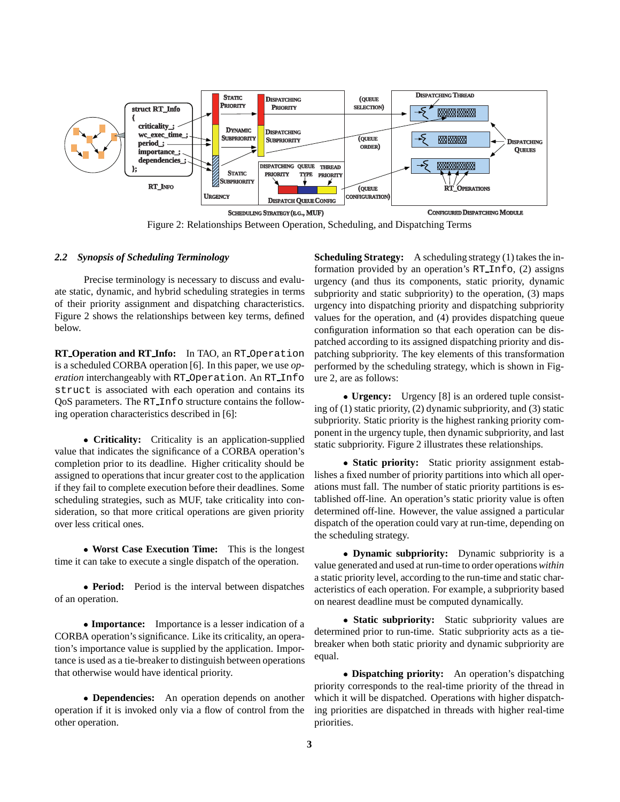

Figure 2: Relationships Between Operation, Scheduling, and Dispatching Terms

### *2.2 Synopsis of Scheduling Terminology*

Precise terminology is necessary to discuss and evaluate static, dynamic, and hybrid scheduling strategies in terms of their priority assignment and dispatching characteristics. Figure 2 shows the relationships between key terms, defined below.

**RT Operation and RT Info:** In TAO, an RT Operation is a scheduled CORBA operation [6]. In this paper, we use *operation* interchangeably with RT Operation. An RT Info struct is associated with each operation and contains its QoS parameters. The RT Info structure contains the following operation characteristics described in [6]:

 **Criticality:** Criticality is an application-supplied value that indicates the significance of a CORBA operation's completion prior to its deadline. Higher criticality should be assigned to operations that incur greater cost to the application if they fail to complete execution before their deadlines. Some scheduling strategies, such as MUF, take criticality into consideration, so that more critical operations are given priority over less critical ones.

 **Worst Case Execution Time:** This is the longest time it can take to execute a single dispatch of the operation.

 **Period:** Period is the interval between dispatches of an operation.

 **Importance:** Importance is a lesser indication of a CORBA operation's significance. Like its criticality, an operation's importance value is supplied by the application. Importance is used as a tie-breaker to distinguish between operations that otherwise would have identical priority.

 **Dependencies:** An operation depends on another operation if it is invoked only via a flow of control from the other operation.

**Scheduling Strategy:** A scheduling strategy (1) takes the information provided by an operation's RT Info, (2) assigns urgency (and thus its components, static priority, dynamic subpriority and static subpriority) to the operation, (3) maps urgency into dispatching priority and dispatching subpriority values for the operation, and (4) provides dispatching queue configuration information so that each operation can be dispatched according to its assigned dispatching priority and dispatching subpriority. The key elements of this transformation performed by the scheduling strategy, which is shown in Figure 2, are as follows:

 **Urgency:** Urgency [8] is an ordered tuple consisting of (1) static priority, (2) dynamic subpriority, and (3) static subpriority. Static priority is the highest ranking priority component in the urgency tuple, then dynamic subpriority, and last static subpriority. Figure 2 illustrates these relationships.

 **Static priority:** Static priority assignment establishes a fixed number of priority partitions into which all operations must fall. The number of static priority partitions is established off-line. An operation's static priority value is often determined off-line. However, the value assigned a particular dispatch of the operation could vary at run-time, depending on the scheduling strategy.

 **Dynamic subpriority:** Dynamic subpriority is a value generated and used at run-time to order operations *within* a static priority level, according to the run-time and static characteristics of each operation. For example, a subpriority based on nearest deadline must be computed dynamically.

 **Static subpriority:** Static subpriority values are determined prior to run-time. Static subpriority acts as a tiebreaker when both static priority and dynamic subpriority are equal.

 **Dispatching priority:** An operation's dispatching priority corresponds to the real-time priority of the thread in which it will be dispatched. Operations with higher dispatching priorities are dispatched in threads with higher real-time priorities.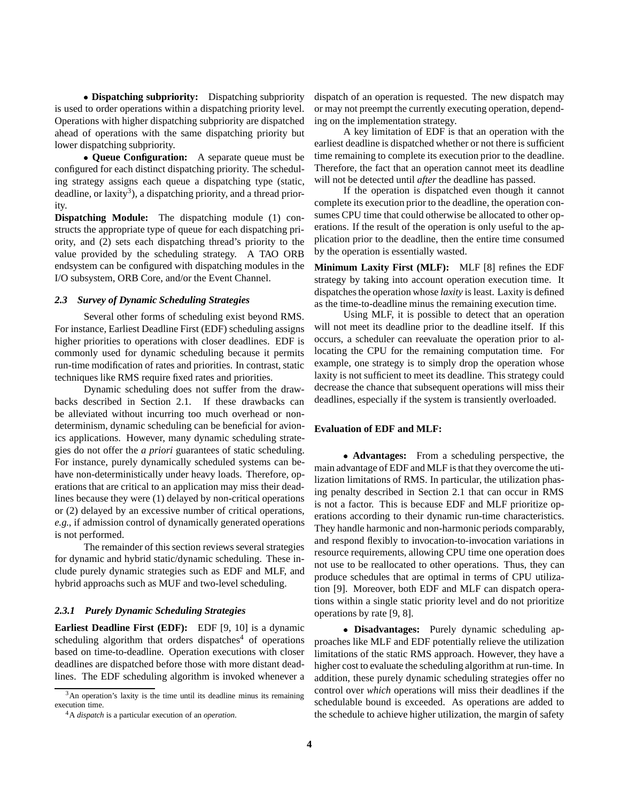**Dispatching subpriority:** Dispatching subpriority is used to order operations within a dispatching priority level. Operations with higher dispatching subpriority are dispatched ahead of operations with the same dispatching priority but lower dispatching subpriority.

 **Queue Configuration:** A separate queue must be configured for each distinct dispatching priority. The scheduling strategy assigns each queue a dispatching type (static, deadline, or laxity<sup>3</sup>), a dispatching priority, and a thread priority.

**Dispatching Module:** The dispatching module (1) constructs the appropriate type of queue for each dispatching priority, and (2) sets each dispatching thread's priority to the value provided by the scheduling strategy. A TAO ORB endsystem can be configured with dispatching modules in the I/O subsystem, ORB Core, and/or the Event Channel.

## *2.3 Survey of Dynamic Scheduling Strategies*

Several other forms of scheduling exist beyond RMS. For instance, Earliest Deadline First (EDF) scheduling assigns higher priorities to operations with closer deadlines. EDF is commonly used for dynamic scheduling because it permits run-time modification of rates and priorities. In contrast, static techniques like RMS require fixed rates and priorities.

Dynamic scheduling does not suffer from the drawbacks described in Section 2.1. If these drawbacks can be alleviated without incurring too much overhead or nondeterminism, dynamic scheduling can be beneficial for avionics applications. However, many dynamic scheduling strategies do not offer the *a priori* guarantees of static scheduling. For instance, purely dynamically scheduled systems can behave non-deterministically under heavy loads. Therefore, operations that are critical to an application may miss their deadlines because they were (1) delayed by non-critical operations or (2) delayed by an excessive number of critical operations, *e.g.*, if admission control of dynamically generated operations is not performed.

The remainder of this section reviews several strategies for dynamic and hybrid static/dynamic scheduling. These include purely dynamic strategies such as EDF and MLF, and hybrid approachs such as MUF and two-level scheduling.

#### *2.3.1 Purely Dynamic Scheduling Strategies*

**Earliest Deadline First (EDF):** EDF [9, 10] is a dynamic scheduling algorithm that orders dispatches $4$  of operations based on time-to-deadline. Operation executions with closer deadlines are dispatched before those with more distant deadlines. The EDF scheduling algorithm is invoked whenever a

dispatch of an operation is requested. The new dispatch may or may not preempt the currently executing operation, depending on the implementation strategy.

A key limitation of EDF is that an operation with the earliest deadline is dispatched whether or not there is sufficient time remaining to complete its execution prior to the deadline. Therefore, the fact that an operation cannot meet its deadline will not be detected until *after* the deadline has passed.

If the operation is dispatched even though it cannot complete its execution prior to the deadline, the operation consumes CPU time that could otherwise be allocated to other operations. If the result of the operation is only useful to the application prior to the deadline, then the entire time consumed by the operation is essentially wasted.

**Minimum Laxity First (MLF):** MLF [8] refines the EDF strategy by taking into account operation execution time. It dispatches the operation whose *laxity* is least. Laxity is defined as the time-to-deadline minus the remaining execution time.

Using MLF, it is possible to detect that an operation will not meet its deadline prior to the deadline itself. If this occurs, a scheduler can reevaluate the operation prior to allocating the CPU for the remaining computation time. For example, one strategy is to simply drop the operation whose laxity is not sufficient to meet its deadline. This strategy could decrease the chance that subsequent operations will miss their deadlines, especially if the system is transiently overloaded.

## **Evaluation of EDF and MLF:**

 **Advantages:** From a scheduling perspective, the main advantage of EDF and MLF is that they overcome the utilization limitations of RMS. In particular, the utilization phasing penalty described in Section 2.1 that can occur in RMS is not a factor. This is because EDF and MLF prioritize operations according to their dynamic run-time characteristics. They handle harmonic and non-harmonic periods comparably, and respond flexibly to invocation-to-invocation variations in resource requirements, allowing CPU time one operation does not use to be reallocated to other operations. Thus, they can produce schedules that are optimal in terms of CPU utilization [9]. Moreover, both EDF and MLF can dispatch operations within a single static priority level and do not prioritize operations by rate [9, 8].

 **Disadvantages:** Purely dynamic scheduling approaches like MLF and EDF potentially relieve the utilization limitations of the static RMS approach. However, they have a higher cost to evaluate the scheduling algorithm at run-time. In addition, these purely dynamic scheduling strategies offer no control over *which* operations will miss their deadlines if the schedulable bound is exceeded. As operations are added to the schedule to achieve higher utilization, the margin of safety

 $3$ An operation's laxity is the time until its deadline minus its remaining execution time.

<sup>4</sup>A *dispatch* is a particular execution of an *operation*.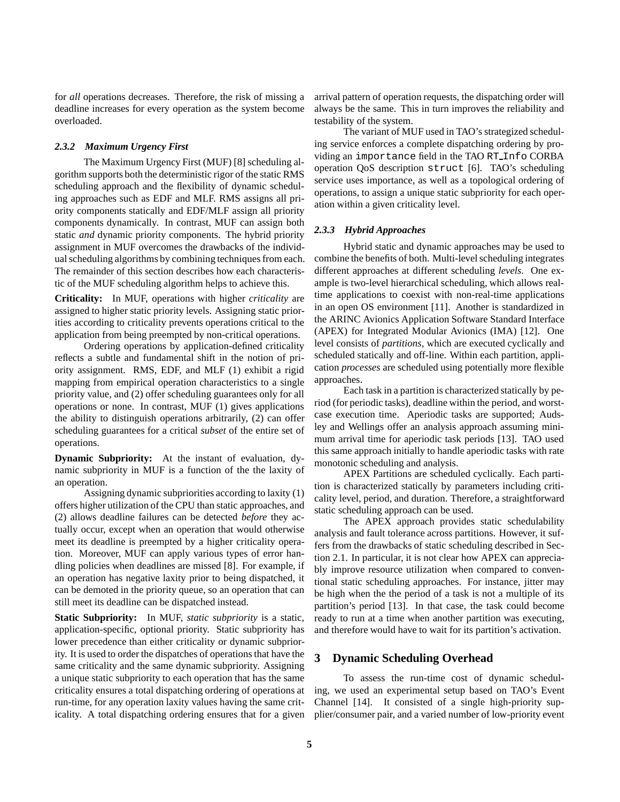for *all* operations decreases. Therefore, the risk of missing a deadline increases for every operation as the system become overloaded.

#### *2.3.2 Maximum Urgency First*

The Maximum Urgency First (MUF) [8] scheduling algorithm supports both the deterministic rigor of the static RMS scheduling approach and the flexibility of dynamic scheduling approaches such as EDF and MLF. RMS assigns all priority components statically and EDF/MLF assign all priority components dynamically. In contrast, MUF can assign both static *and* dynamic priority components. The hybrid priority assignment in MUF overcomes the drawbacks of the individual scheduling algorithms by combining techniques from each. The remainder of this section describes how each characteristic of the MUF scheduling algorithm helps to achieve this.

**Criticality:** In MUF, operations with higher *criticality* are assigned to higher static priority levels. Assigning static priorities according to criticality prevents operations critical to the application from being preempted by non-critical operations.

Ordering operations by application-defined criticality reflects a subtle and fundamental shift in the notion of priority assignment. RMS, EDF, and MLF (1) exhibit a rigid mapping from empirical operation characteristics to a single priority value, and (2) offer scheduling guarantees only for all operations or none. In contrast, MUF (1) gives applications the ability to distinguish operations arbitrarily, (2) can offer scheduling guarantees for a critical *subset* of the entire set of operations.

**Dynamic Subpriority:** At the instant of evaluation, dynamic subpriority in MUF is a function of the the laxity of an operation.

Assigning dynamic subpriorities according to laxity (1) offers higher utilization of the CPU than static approaches, and (2) allows deadline failures can be detected *before* they actually occur, except when an operation that would otherwise meet its deadline is preempted by a higher criticality operation. Moreover, MUF can apply various types of error handling policies when deadlines are missed [8]. For example, if an operation has negative laxity prior to being dispatched, it can be demoted in the priority queue, so an operation that can still meet its deadline can be dispatched instead.

**Static Subpriority:** In MUF, *static subpriority* is a static, application-specific, optional priority. Static subpriority has lower precedence than either criticality or dynamic subpriority. It is used to order the dispatches of operations that have the same criticality and the same dynamic subpriority. Assigning a unique static subpriority to each operation that has the same criticality ensures a total dispatching ordering of operations at run-time, for any operation laxity values having the same criticality. A total dispatching ordering ensures that for a given arrival pattern of operation requests, the dispatching order will always be the same. This in turn improves the reliability and testability of the system.

The variant of MUF used in TAO's strategized scheduling service enforces a complete dispatching ordering by providing an importance field in the TAO RT Info CORBA operation QoS description struct [6]. TAO's scheduling service uses importance, as well as a topological ordering of operations, to assign a unique static subpriority for each operation within a given criticality level.

## *2.3.3 Hybrid Approaches*

Hybrid static and dynamic approaches may be used to combine the benefits of both. Multi-level scheduling integrates different approaches at different scheduling *levels*. One example is two-level hierarchical scheduling, which allows realtime applications to coexist with non-real-time applications in an open OS environment [11]. Another is standardized in the ARINC Avionics Application Software Standard Interface (APEX) for Integrated Modular Avionics (IMA) [12]. One level consists of *partitions*, which are executed cyclically and scheduled statically and off-line. Within each partition, application *processes* are scheduled using potentially more flexible approaches.

Each task in a partition is characterized statically by period (for periodic tasks), deadline within the period, and worstcase execution time. Aperiodic tasks are supported; Audsley and Wellings offer an analysis approach assuming minimum arrival time for aperiodic task periods [13]. TAO used this same approach initially to handle aperiodic tasks with rate monotonic scheduling and analysis.

APEX Partitions are scheduled cyclically. Each partition is characterized statically by parameters including criticality level, period, and duration. Therefore, a straightforward static scheduling approach can be used.

The APEX approach provides static schedulability analysis and fault tolerance across partitions. However, it suffers from the drawbacks of static scheduling described in Section 2.1. In particular, it is not clear how APEX can appreciably improve resource utilization when compared to conventional static scheduling approaches. For instance, jitter may be high when the the period of a task is not a multiple of its partition's period [13]. In that case, the task could become ready to run at a time when another partition was executing, and therefore would have to wait for its partition's activation.

## **3 Dynamic Scheduling Overhead**

To assess the run-time cost of dynamic scheduling, we used an experimental setup based on TAO's Event Channel [14]. It consisted of a single high-priority supplier/consumer pair, and a varied number of low-priority event